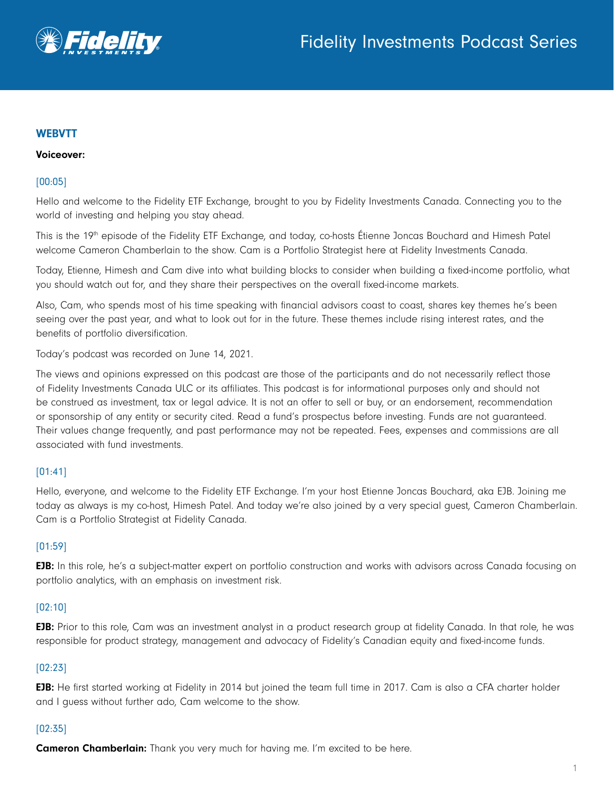

# **WEBVTT**

### Voiceover:

### [00:05]

Hello and welcome to the Fidelity ETF Exchange, brought to you by Fidelity Investments Canada. Connecting you to the world of investing and helping you stay ahead.

This is the 19<sup>th</sup> episode of the Fidelity ETF Exchange, and today, co-hosts Étienne Joncas Bouchard and Himesh Patel welcome Cameron Chamberlain to the show. Cam is a Portfolio Strategist here at Fidelity Investments Canada.

Today, Etienne, Himesh and Cam dive into what building blocks to consider when building a fixed-income portfolio, what you should watch out for, and they share their perspectives on the overall fixed-income markets.

Also, Cam, who spends most of his time speaking with financial advisors coast to coast, shares key themes he's been seeing over the past year, and what to look out for in the future. These themes include rising interest rates, and the benefits of portfolio diversification.

Today's podcast was recorded on June 14, 2021.

The views and opinions expressed on this podcast are those of the participants and do not necessarily reflect those of Fidelity Investments Canada ULC or its affiliates. This podcast is for informational purposes only and should not be construed as investment, tax or legal advice. It is not an offer to sell or buy, or an endorsement, recommendation or sponsorship of any entity or security cited. Read a fund's prospectus before investing. Funds are not guaranteed. Their values change frequently, and past performance may not be repeated. Fees, expenses and commissions are all associated with fund investments.

### [01:41]

Hello, everyone, and welcome to the Fidelity ETF Exchange. I'm your host Etienne Joncas Bouchard, aka EJB. Joining me today as always is my co-host, Himesh Patel. And today we're also joined by a very special guest, Cameron Chamberlain. Cam is a Portfolio Strategist at Fidelity Canada.

### [01:59]

**EJB:** In this role, he's a subject-matter expert on portfolio construction and works with advisors across Canada focusing on portfolio analytics, with an emphasis on investment risk.

### [02:10]

EJB: Prior to this role, Cam was an investment analyst in a product research group at fidelity Canada. In that role, he was responsible for product strategy, management and advocacy of Fidelity's Canadian equity and fixed-income funds.

### [02:23]

EJB: He first started working at Fidelity in 2014 but joined the team full time in 2017. Cam is also a CFA charter holder and I guess without further ado, Cam welcome to the show.

### [02:35]

**Cameron Chamberlain:** Thank you very much for having me. I'm excited to be here.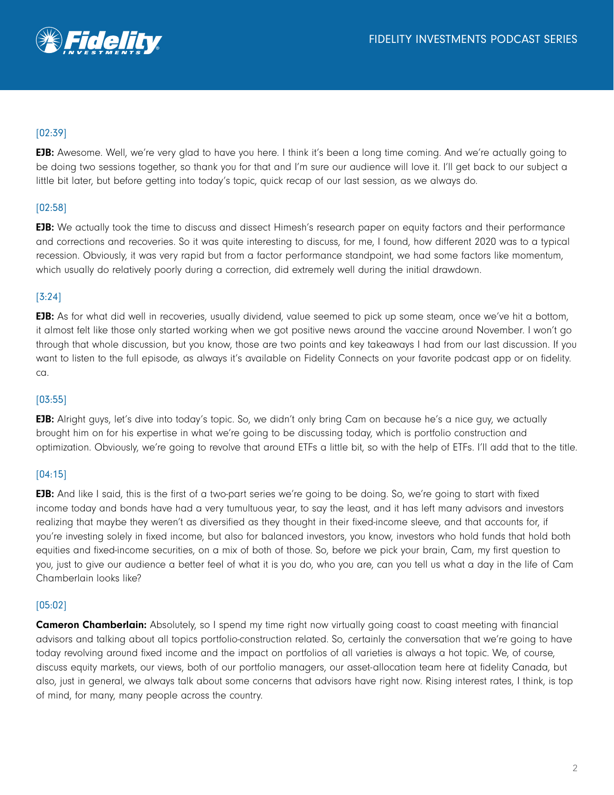## [02:39]

**EJB:** Awesome. Well, we're very glad to have you here. I think it's been a long time coming. And we're actually going to be doing two sessions together, so thank you for that and I'm sure our audience will love it. I'll get back to our subject a little bit later, but before getting into today's topic, quick recap of our last session, as we always do.

## [02:58]

**EJB:** We actually took the time to discuss and dissect Himesh's research paper on equity factors and their performance and corrections and recoveries. So it was quite interesting to discuss, for me, I found, how different 2020 was to a typical recession. Obviously, it was very rapid but from a factor performance standpoint, we had some factors like momentum, which usually do relatively poorly during a correction, did extremely well during the initial drawdown.

## [3:24]

**EJB:** As for what did well in recoveries, usually dividend, value seemed to pick up some steam, once we've hit a bottom, it almost felt like those only started working when we got positive news around the vaccine around November. I won't go through that whole discussion, but you know, those are two points and key takeaways I had from our last discussion. If you want to listen to the full episode, as always it's available on Fidelity Connects on your favorite podcast app or on fidelity. ca.

### [03:55]

EJB: Alright guys, let's dive into today's topic. So, we didn't only bring Cam on because he's a nice guy, we actually brought him on for his expertise in what we're going to be discussing today, which is portfolio construction and optimization. Obviously, we're going to revolve that around ETFs a little bit, so with the help of ETFs. I'll add that to the title.

### [04:15]

EJB: And like I said, this is the first of a two-part series we're going to be doing. So, we're going to start with fixed income today and bonds have had a very tumultuous year, to say the least, and it has left many advisors and investors realizing that maybe they weren't as diversified as they thought in their fixed-income sleeve, and that accounts for, if you're investing solely in fixed income, but also for balanced investors, you know, investors who hold funds that hold both equities and fixed-income securities, on a mix of both of those. So, before we pick your brain, Cam, my first question to you, just to give our audience a better feel of what it is you do, who you are, can you tell us what a day in the life of Cam Chamberlain looks like?

### [05:02]

**Cameron Chamberlain:** Absolutely, so I spend my time right now virtually going coast to coast meeting with financial advisors and talking about all topics portfolio-construction related. So, certainly the conversation that we're going to have today revolving around fixed income and the impact on portfolios of all varieties is always a hot topic. We, of course, discuss equity markets, our views, both of our portfolio managers, our asset-allocation team here at fidelity Canada, but also, just in general, we always talk about some concerns that advisors have right now. Rising interest rates, I think, is top of mind, for many, many people across the country.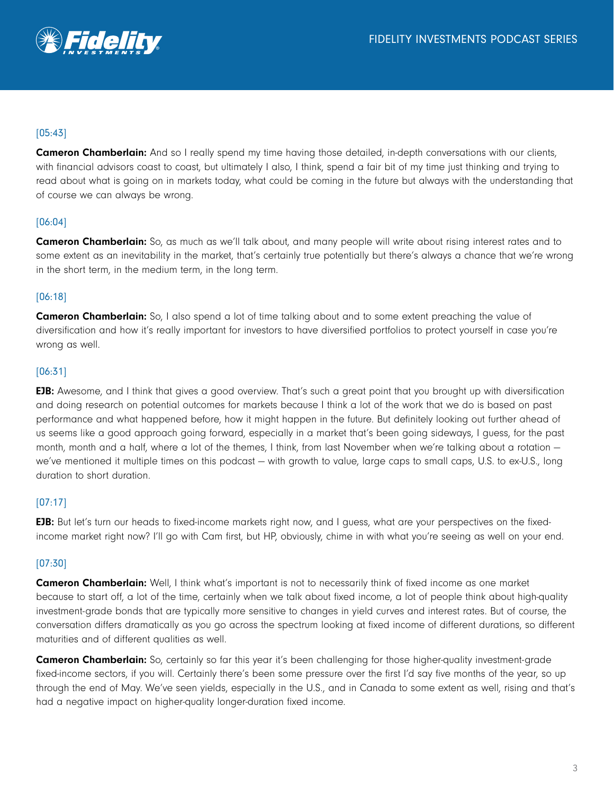

## [05:43]

**Cameron Chamberlain:** And so I really spend my time having those detailed, in-depth conversations with our clients, with financial advisors coast to coast, but ultimately I also, I think, spend a fair bit of my time just thinking and trying to read about what is going on in markets today, what could be coming in the future but always with the understanding that of course we can always be wrong.

## [06:04]

**Cameron Chamberlain:** So, as much as we'll talk about, and many people will write about rising interest rates and to some extent as an inevitability in the market, that's certainly true potentially but there's always a chance that we're wrong in the short term, in the medium term, in the long term.

### [06:18]

**Cameron Chamberlain:** So, I also spend a lot of time talking about and to some extent preaching the value of diversification and how it's really important for investors to have diversified portfolios to protect yourself in case you're wrong as well.

### [06:31]

EJB: Awesome, and I think that gives a good overview. That's such a great point that you brought up with diversification and doing research on potential outcomes for markets because I think a lot of the work that we do is based on past performance and what happened before, how it might happen in the future. But definitely looking out further ahead of us seems like a good approach going forward, especially in a market that's been going sideways, I guess, for the past month, month and a half, where a lot of the themes, I think, from last November when we're talking about a rotation we've mentioned it multiple times on this podcast — with growth to value, large caps to small caps, U.S. to ex-U.S., long duration to short duration.

### [07:17]

EJB: But let's turn our heads to fixed-income markets right now, and I guess, what are your perspectives on the fixedincome market right now? I'll go with Cam first, but HP, obviously, chime in with what you're seeing as well on your end.

### [07:30]

**Cameron Chamberlain:** Well, I think what's important is not to necessarily think of fixed income as one market because to start off, a lot of the time, certainly when we talk about fixed income, a lot of people think about high-quality investment-grade bonds that are typically more sensitive to changes in yield curves and interest rates. But of course, the conversation differs dramatically as you go across the spectrum looking at fixed income of different durations, so different maturities and of different qualities as well.

**Cameron Chamberlain:** So, certainly so far this year it's been challenging for those higher-quality investment-grade fixed-income sectors, if you will. Certainly there's been some pressure over the first I'd say five months of the year, so up through the end of May. We've seen yields, especially in the U.S., and in Canada to some extent as well, rising and that's had a negative impact on higher-quality longer-duration fixed income.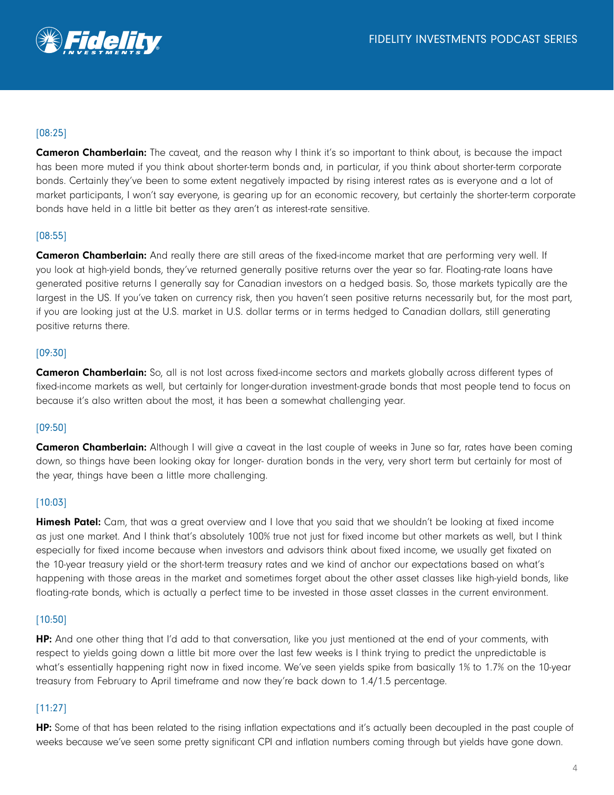

## [08:25]

**Cameron Chamberlain:** The caveat, and the reason why I think it's so important to think about, is because the impact has been more muted if you think about shorter-term bonds and, in particular, if you think about shorter-term corporate bonds. Certainly they've been to some extent negatively impacted by rising interest rates as is everyone and a lot of market participants, I won't say everyone, is gearing up for an economic recovery, but certainly the shorter-term corporate bonds have held in a little bit better as they aren't as interest-rate sensitive.

### [08:55]

**Cameron Chamberlain:** And really there are still areas of the fixed-income market that are performing very well. If you look at high-yield bonds, they've returned generally positive returns over the year so far. Floating-rate loans have generated positive returns I generally say for Canadian investors on a hedged basis. So, those markets typically are the largest in the US. If you've taken on currency risk, then you haven't seen positive returns necessarily but, for the most part, if you are looking just at the U.S. market in U.S. dollar terms or in terms hedged to Canadian dollars, still generating positive returns there.

### [09:30]

**Cameron Chamberlain:** So, all is not lost across fixed-income sectors and markets globally across different types of fixed-income markets as well, but certainly for longer-duration investment-grade bonds that most people tend to focus on because it's also written about the most, it has been a somewhat challenging year.

### [09:50]

**Cameron Chamberlain:** Although I will give a caveat in the last couple of weeks in June so far, rates have been coming down, so things have been looking okay for longer- duration bonds in the very, very short term but certainly for most of the year, things have been a little more challenging.

### [10:03]

**Himesh Patel:** Cam, that was a great overview and I love that you said that we shouldn't be looking at fixed income as just one market. And I think that's absolutely 100% true not just for fixed income but other markets as well, but I think especially for fixed income because when investors and advisors think about fixed income, we usually get fixated on the 10-year treasury yield or the short-term treasury rates and we kind of anchor our expectations based on what's happening with those areas in the market and sometimes forget about the other asset classes like high-yield bonds, like floating-rate bonds, which is actually a perfect time to be invested in those asset classes in the current environment.

### [10:50]

HP: And one other thing that I'd add to that conversation, like you just mentioned at the end of your comments, with respect to yields going down a little bit more over the last few weeks is I think trying to predict the unpredictable is what's essentially happening right now in fixed income. We've seen yields spike from basically 1% to 1.7% on the 10-year treasury from February to April timeframe and now they're back down to 1.4/1.5 percentage.

### [11:27]

HP: Some of that has been related to the rising inflation expectations and it's actually been decoupled in the past couple of weeks because we've seen some pretty significant CPI and inflation numbers coming through but yields have gone down.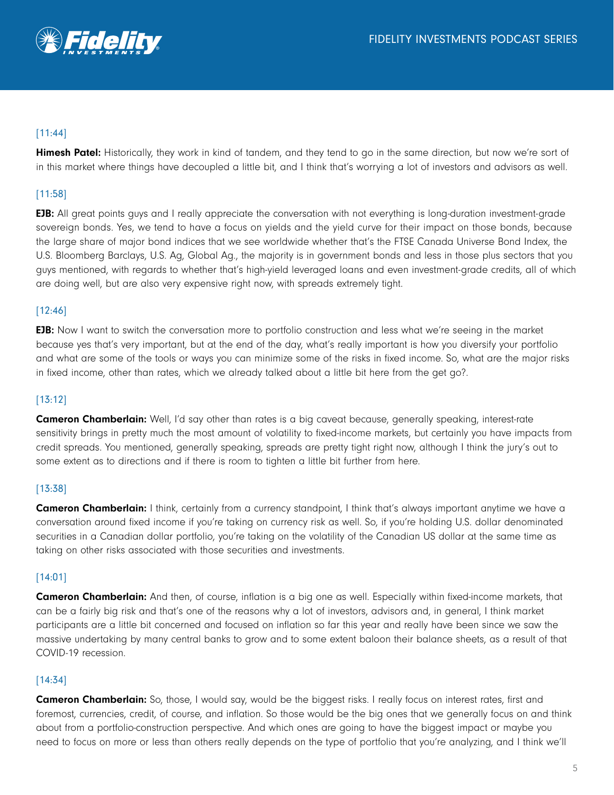

## [11:44]

Himesh Patel: Historically, they work in kind of tandem, and they tend to go in the same direction, but now we're sort of in this market where things have decoupled a little bit, and I think that's worrying a lot of investors and advisors as well.

## [11:58]

EJB: All great points guys and I really appreciate the conversation with not everything is long-duration investment-grade sovereign bonds. Yes, we tend to have a focus on yields and the yield curve for their impact on those bonds, because the large share of major bond indices that we see worldwide whether that's the FTSE Canada Universe Bond Index, the U.S. Bloomberg Barclays, U.S. Ag, Global Ag., the majority is in government bonds and less in those plus sectors that you guys mentioned, with regards to whether that's high-yield leveraged loans and even investment-grade credits, all of which are doing well, but are also very expensive right now, with spreads extremely tight.

### [12:46]

**EJB:** Now I want to switch the conversation more to portfolio construction and less what we're seeing in the market because yes that's very important, but at the end of the day, what's really important is how you diversify your portfolio and what are some of the tools or ways you can minimize some of the risks in fixed income. So, what are the major risks in fixed income, other than rates, which we already talked about a little bit here from the get go?.

### [13:12]

Cameron Chamberlain: Well, I'd say other than rates is a big caveat because, generally speaking, interest-rate sensitivity brings in pretty much the most amount of volatility to fixed-income markets, but certainly you have impacts from credit spreads. You mentioned, generally speaking, spreads are pretty tight right now, although I think the jury's out to some extent as to directions and if there is room to tighten a little bit further from here.

### [13:38]

Cameron Chamberlain: I think, certainly from a currency standpoint, I think that's always important anytime we have a conversation around fixed income if you're taking on currency risk as well. So, if you're holding U.S. dollar denominated securities in a Canadian dollar portfolio, you're taking on the volatility of the Canadian US dollar at the same time as taking on other risks associated with those securities and investments.

### [14:01]

**Cameron Chamberlain:** And then, of course, inflation is a big one as well. Especially within fixed-income markets, that can be a fairly big risk and that's one of the reasons why a lot of investors, advisors and, in general, I think market participants are a little bit concerned and focused on inflation so far this year and really have been since we saw the massive undertaking by many central banks to grow and to some extent baloon their balance sheets, as a result of that COVID-19 recession.

### [14:34]

**Cameron Chamberlain:** So, those, I would say, would be the biggest risks. I really focus on interest rates, first and foremost, currencies, credit, of course, and inflation. So those would be the big ones that we generally focus on and think about from a portfolio-construction perspective. And which ones are going to have the biggest impact or maybe you need to focus on more or less than others really depends on the type of portfolio that you're analyzing, and I think we'll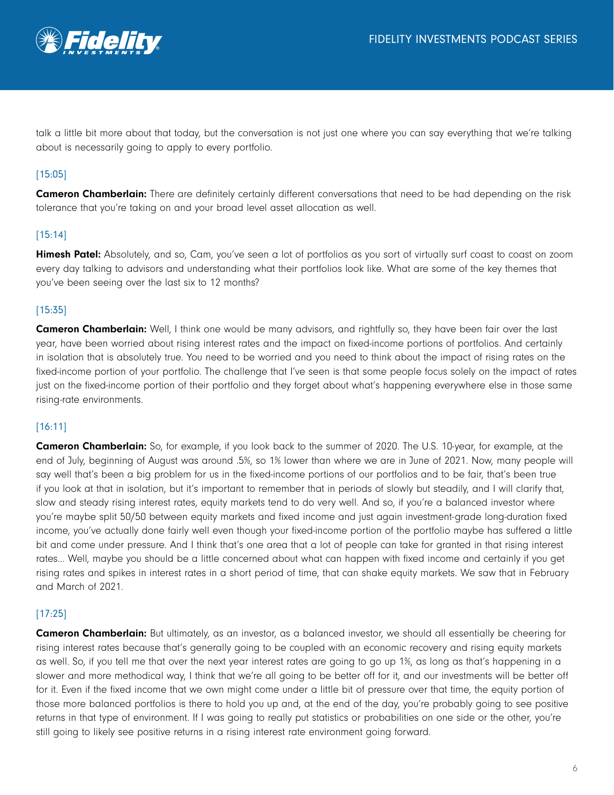

talk a little bit more about that today, but the conversation is not just one where you can say everything that we're talking about is necessarily going to apply to every portfolio.

## [15:05]

**Cameron Chamberlain:** There are definitely certainly different conversations that need to be had depending on the risk tolerance that you're taking on and your broad level asset allocation as well.

## [15:14]

Himesh Patel: Absolutely, and so, Cam, you've seen a lot of portfolios as you sort of virtually surf coast to coast on zoom every day talking to advisors and understanding what their portfolios look like. What are some of the key themes that you've been seeing over the last six to 12 months?

### [15:35]

Cameron Chamberlain: Well, I think one would be many advisors, and rightfully so, they have been fair over the last year, have been worried about rising interest rates and the impact on fixed-income portions of portfolios. And certainly in isolation that is absolutely true. You need to be worried and you need to think about the impact of rising rates on the fixed-income portion of your portfolio. The challenge that I've seen is that some people focus solely on the impact of rates just on the fixed-income portion of their portfolio and they forget about what's happening everywhere else in those same rising-rate environments.

### [16:11]

Cameron Chamberlain: So, for example, if you look back to the summer of 2020. The U.S. 10-year, for example, at the end of July, beginning of August was around .5%, so 1% lower than where we are in June of 2021. Now, many people will say well that's been a big problem for us in the fixed-income portions of our portfolios and to be fair, that's been true if you look at that in isolation, but it's important to remember that in periods of slowly but steadily, and I will clarify that, slow and steady rising interest rates, equity markets tend to do very well. And so, if you're a balanced investor where you're maybe split 50/50 between equity markets and fixed income and just again investment-grade long-duration fixed income, you've actually done fairly well even though your fixed-income portion of the portfolio maybe has suffered a little bit and come under pressure. And I think that's one area that a lot of people can take for granted in that rising interest rates... Well, maybe you should be a little concerned about what can happen with fixed income and certainly if you get rising rates and spikes in interest rates in a short period of time, that can shake equity markets. We saw that in February and March of 2021.

## [17:25]

**Cameron Chamberlain:** But ultimately, as an investor, as a balanced investor, we should all essentially be cheering for rising interest rates because that's generally going to be coupled with an economic recovery and rising equity markets as well. So, if you tell me that over the next year interest rates are going to go up 1%, as long as that's happening in a slower and more methodical way, I think that we're all going to be better off for it, and our investments will be better off for it. Even if the fixed income that we own might come under a little bit of pressure over that time, the equity portion of those more balanced portfolios is there to hold you up and, at the end of the day, you're probably going to see positive returns in that type of environment. If I was going to really put statistics or probabilities on one side or the other, you're still going to likely see positive returns in a rising interest rate environment going forward.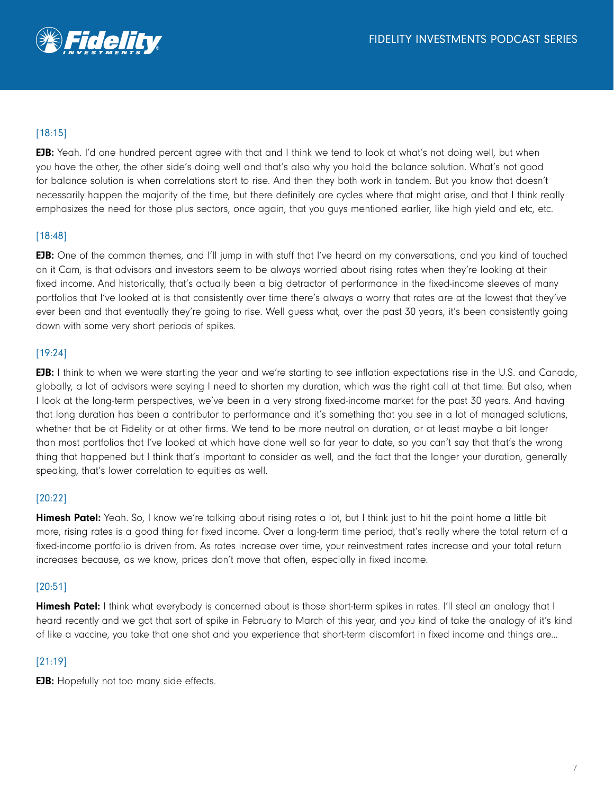

# [18:15]

**EJB:** Yeah. I'd one hundred percent agree with that and I think we tend to look at what's not doing well, but when you have the other, the other side's doing well and that's also why you hold the balance solution. What's not good for balance solution is when correlations start to rise. And then they both work in tandem. But you know that doesn't necessarily happen the majority of the time, but there definitely are cycles where that might arise, and that I think really emphasizes the need for those plus sectors, once again, that you guys mentioned earlier, like high yield and etc, etc.

## [18:48]

**EJB:** One of the common themes, and I'll jump in with stuff that I've heard on my conversations, and you kind of touched on it Cam, is that advisors and investors seem to be always worried about rising rates when they're looking at their fixed income. And historically, that's actually been a big detractor of performance in the fixed-income sleeves of many portfolios that I've looked at is that consistently over time there's always a worry that rates are at the lowest that they've ever been and that eventually they're going to rise. Well guess what, over the past 30 years, it's been consistently going down with some very short periods of spikes.

## [19:24]

EJB: I think to when we were starting the year and we're starting to see inflation expectations rise in the U.S. and Canada, globally, a lot of advisors were saying I need to shorten my duration, which was the right call at that time. But also, when I look at the long-term perspectives, we've been in a very strong fixed-income market for the past 30 years. And having that long duration has been a contributor to performance and it's something that you see in a lot of managed solutions, whether that be at Fidelity or at other firms. We tend to be more neutral on duration, or at least maybe a bit longer than most portfolios that I've looked at which have done well so far year to date, so you can't say that that's the wrong thing that happened but I think that's important to consider as well, and the fact that the longer your duration, generally speaking, that's lower correlation to equities as well.

### [20:22]

Himesh Patel: Yeah. So, I know we're talking about rising rates a lot, but I think just to hit the point home a little bit more, rising rates is a good thing for fixed income. Over a long-term time period, that's really where the total return of a fixed-income portfolio is driven from. As rates increase over time, your reinvestment rates increase and your total return increases because, as we know, prices don't move that often, especially in fixed income.

### [20:51]

**Himesh Patel:** I think what everybody is concerned about is those short-term spikes in rates. I'll steal an analogy that I heard recently and we got that sort of spike in February to March of this year, and you kind of take the analogy of it's kind of like a vaccine, you take that one shot and you experience that short-term discomfort in fixed income and things are...

### [21:19]

**EJB:** Hopefully not too many side effects.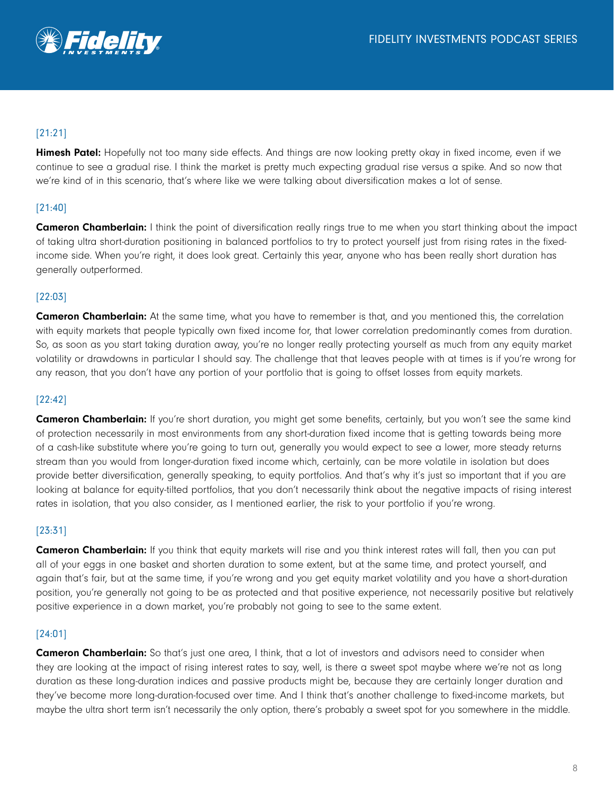

# [21:21]

**Himesh Patel:** Hopefully not too many side effects. And things are now looking pretty okay in fixed income, even if we continue to see a gradual rise. I think the market is pretty much expecting gradual rise versus a spike. And so now that we're kind of in this scenario, that's where like we were talking about diversification makes a lot of sense.

## [21:40]

**Cameron Chamberlain:** I think the point of diversification really rings true to me when you start thinking about the impact of taking ultra short-duration positioning in balanced portfolios to try to protect yourself just from rising rates in the fixedincome side. When you're right, it does look great. Certainly this year, anyone who has been really short duration has generally outperformed.

## [22:03]

**Cameron Chamberlain:** At the same time, what you have to remember is that, and you mentioned this, the correlation with equity markets that people typically own fixed income for, that lower correlation predominantly comes from duration. So, as soon as you start taking duration away, you're no longer really protecting yourself as much from any equity market volatility or drawdowns in particular I should say. The challenge that that leaves people with at times is if you're wrong for any reason, that you don't have any portion of your portfolio that is going to offset losses from equity markets.

### [22:42]

Cameron Chamberlain: If you're short duration, you might get some benefits, certainly, but you won't see the same kind of protection necessarily in most environments from any short-duration fixed income that is getting towards being more of a cash-like substitute where you're going to turn out, generally you would expect to see a lower, more steady returns stream than you would from longer-duration fixed income which, certainly, can be more volatile in isolation but does provide better diversification, generally speaking, to equity portfolios. And that's why it's just so important that if you are looking at balance for equity-tilted portfolios, that you don't necessarily think about the negative impacts of rising interest rates in isolation, that you also consider, as I mentioned earlier, the risk to your portfolio if you're wrong.

## [23:31]

**Cameron Chamberlain:** If you think that equity markets will rise and you think interest rates will fall, then you can put all of your eggs in one basket and shorten duration to some extent, but at the same time, and protect yourself, and again that's fair, but at the same time, if you're wrong and you get equity market volatility and you have a short-duration position, you're generally not going to be as protected and that positive experience, not necessarily positive but relatively positive experience in a down market, you're probably not going to see to the same extent.

## [24:01]

**Cameron Chamberlain:** So that's just one area, I think, that a lot of investors and advisors need to consider when they are looking at the impact of rising interest rates to say, well, is there a sweet spot maybe where we're not as long duration as these long-duration indices and passive products might be, because they are certainly longer duration and they've become more long-duration-focused over time. And I think that's another challenge to fixed-income markets, but maybe the ultra short term isn't necessarily the only option, there's probably a sweet spot for you somewhere in the middle.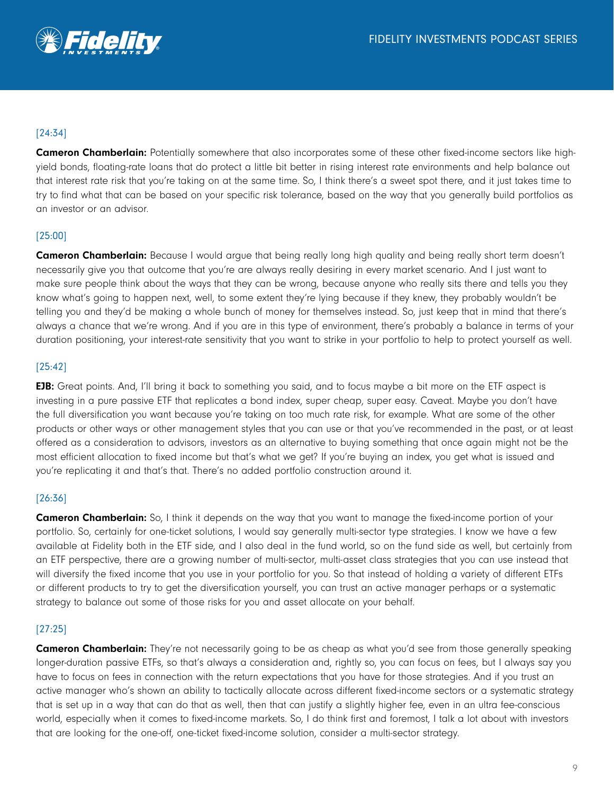

## [24:34]

Cameron Chamberlain: Potentially somewhere that also incorporates some of these other fixed-income sectors like highyield bonds, floating-rate loans that do protect a little bit better in rising interest rate environments and help balance out that interest rate risk that you're taking on at the same time. So, I think there's a sweet spot there, and it just takes time to try to find what that can be based on your specific risk tolerance, based on the way that you generally build portfolios as an investor or an advisor.

## [25:00]

Cameron Chamberlain: Because I would argue that being really long high quality and being really short term doesn't necessarily give you that outcome that you're are always really desiring in every market scenario. And I just want to make sure people think about the ways that they can be wrong, because anyone who really sits there and tells you they know what's going to happen next, well, to some extent they're lying because if they knew, they probably wouldn't be telling you and they'd be making a whole bunch of money for themselves instead. So, just keep that in mind that there's always a chance that we're wrong. And if you are in this type of environment, there's probably a balance in terms of your duration positioning, your interest-rate sensitivity that you want to strike in your portfolio to help to protect yourself as well.

### [25:42]

EJB: Great points. And, I'll bring it back to something you said, and to focus maybe a bit more on the ETF aspect is investing in a pure passive ETF that replicates a bond index, super cheap, super easy. Caveat. Maybe you don't have the full diversification you want because you're taking on too much rate risk, for example. What are some of the other products or other ways or other management styles that you can use or that you've recommended in the past, or at least offered as a consideration to advisors, investors as an alternative to buying something that once again might not be the most efficient allocation to fixed income but that's what we get? If you're buying an index, you get what is issued and you're replicating it and that's that. There's no added portfolio construction around it.

## [26:36]

**Cameron Chamberlain:** So, I think it depends on the way that you want to manage the fixed-income portion of your portfolio. So, certainly for one-ticket solutions, I would say generally multi-sector type strategies. I know we have a few available at Fidelity both in the ETF side, and I also deal in the fund world, so on the fund side as well, but certainly from an ETF perspective, there are a growing number of multi-sector, multi-asset class strategies that you can use instead that will diversify the fixed income that you use in your portfolio for you. So that instead of holding a variety of different ETFs or different products to try to get the diversification yourself, you can trust an active manager perhaps or a systematic strategy to balance out some of those risks for you and asset allocate on your behalf.

## [27:25]

**Cameron Chamberlain:** They're not necessarily going to be as cheap as what you'd see from those generally speaking longer-duration passive ETFs, so that's always a consideration and, rightly so, you can focus on fees, but I always say you have to focus on fees in connection with the return expectations that you have for those strategies. And if you trust an active manager who's shown an ability to tactically allocate across different fixed-income sectors or a systematic strategy that is set up in a way that can do that as well, then that can justify a slightly higher fee, even in an ultra fee-conscious world, especially when it comes to fixed-income markets. So, I do think first and foremost, I talk a lot about with investors that are looking for the one-off, one-ticket fixed-income solution, consider a multi-sector strategy.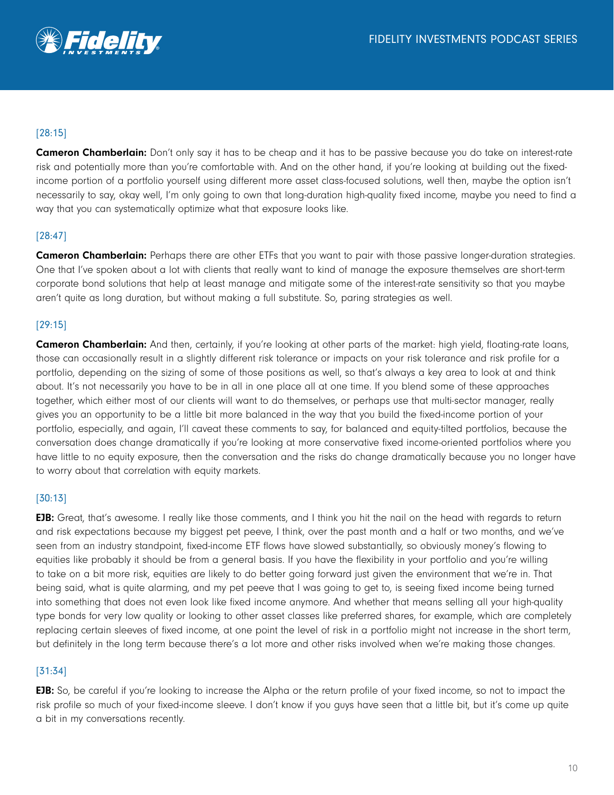

# [28:15]

**Cameron Chamberlain:** Don't only say it has to be cheap and it has to be passive because you do take on interest-rate risk and potentially more than you're comfortable with. And on the other hand, if you're looking at building out the fixedincome portion of a portfolio yourself using different more asset class-focused solutions, well then, maybe the option isn't necessarily to say, okay well, I'm only going to own that long-duration high-quality fixed income, maybe you need to find a way that you can systematically optimize what that exposure looks like.

## [28:47]

**Cameron Chamberlain:** Perhaps there are other ETFs that you want to pair with those passive longer-duration strategies. One that I've spoken about a lot with clients that really want to kind of manage the exposure themselves are short-term corporate bond solutions that help at least manage and mitigate some of the interest-rate sensitivity so that you maybe aren't quite as long duration, but without making a full substitute. So, paring strategies as well.

## [29:15]

**Cameron Chamberlain:** And then, certainly, if you're looking at other parts of the market: high yield, floating-rate loans, those can occasionally result in a slightly different risk tolerance or impacts on your risk tolerance and risk profile for a portfolio, depending on the sizing of some of those positions as well, so that's always a key area to look at and think about. It's not necessarily you have to be in all in one place all at one time. If you blend some of these approaches together, which either most of our clients will want to do themselves, or perhaps use that multi-sector manager, really gives you an opportunity to be a little bit more balanced in the way that you build the fixed-income portion of your portfolio, especially, and again, I'll caveat these comments to say, for balanced and equity-tilted portfolios, because the conversation does change dramatically if you're looking at more conservative fixed income-oriented portfolios where you have little to no equity exposure, then the conversation and the risks do change dramatically because you no longer have to worry about that correlation with equity markets.

## [30:13]

EJB: Great, that's awesome. I really like those comments, and I think you hit the nail on the head with regards to return and risk expectations because my biggest pet peeve, I think, over the past month and a half or two months, and we've seen from an industry standpoint, fixed-income ETF flows have slowed substantially, so obviously money's flowing to equities like probably it should be from a general basis. If you have the flexibility in your portfolio and you're willing to take on a bit more risk, equities are likely to do better going forward just given the environment that we're in. That being said, what is quite alarming, and my pet peeve that I was going to get to, is seeing fixed income being turned into something that does not even look like fixed income anymore. And whether that means selling all your high-quality type bonds for very low quality or looking to other asset classes like preferred shares, for example, which are completely replacing certain sleeves of fixed income, at one point the level of risk in a portfolio might not increase in the short term, but definitely in the long term because there's a lot more and other risks involved when we're making those changes.

### [31:34]

**EJB:** So, be careful if you're looking to increase the Alpha or the return profile of your fixed income, so not to impact the risk profile so much of your fixed-income sleeve. I don't know if you guys have seen that a little bit, but it's come up quite a bit in my conversations recently.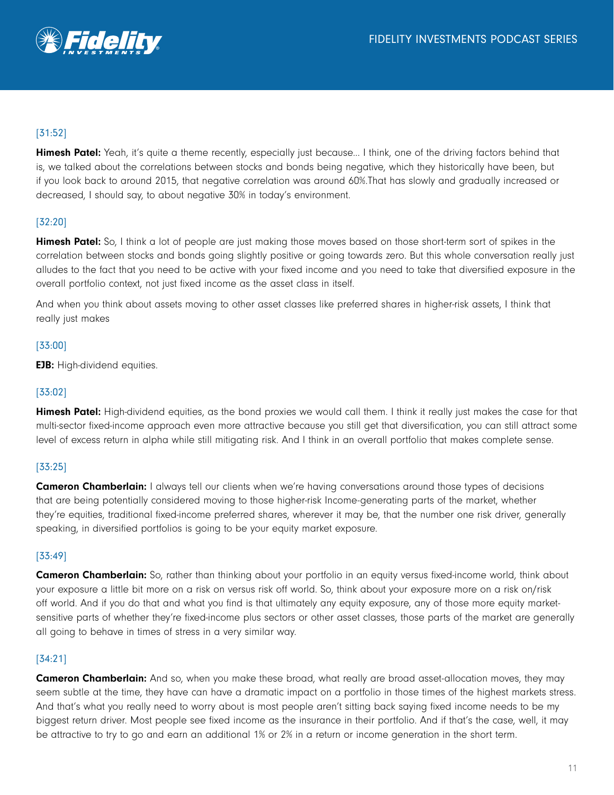

# [31:52]

Himesh Patel: Yeah, it's quite a theme recently, especially just because... I think, one of the driving factors behind that is, we talked about the correlations between stocks and bonds being negative, which they historically have been, but if you look back to around 2015, that negative correlation was around 60%.That has slowly and gradually increased or decreased, I should say, to about negative 30% in today's environment.

## [32:20]

Himesh Patel: So, I think a lot of people are just making those moves based on those short-term sort of spikes in the correlation between stocks and bonds going slightly positive or going towards zero. But this whole conversation really just alludes to the fact that you need to be active with your fixed income and you need to take that diversified exposure in the overall portfolio context, not just fixed income as the asset class in itself.

And when you think about assets moving to other asset classes like preferred shares in higher-risk assets, I think that really just makes

### [33:00]

**EJB:** High-dividend equities.

#### [33:02]

Himesh Patel: High-dividend equities, as the bond proxies we would call them. I think it really just makes the case for that multi-sector fixed-income approach even more attractive because you still get that diversification, you can still attract some level of excess return in alpha while still mitigating risk. And I think in an overall portfolio that makes complete sense.

### [33:25]

**Cameron Chamberlain:** I always tell our clients when we're having conversations around those types of decisions that are being potentially considered moving to those higher-risk Income-generating parts of the market, whether they're equities, traditional fixed-income preferred shares, wherever it may be, that the number one risk driver, generally speaking, in diversified portfolios is going to be your equity market exposure.

### [33:49]

Cameron Chamberlain: So, rather than thinking about your portfolio in an equity versus fixed-income world, think about your exposure a little bit more on a risk on versus risk off world. So, think about your exposure more on a risk on/risk off world. And if you do that and what you find is that ultimately any equity exposure, any of those more equity marketsensitive parts of whether they're fixed-income plus sectors or other asset classes, those parts of the market are generally all going to behave in times of stress in a very similar way.

### [34:21]

**Cameron Chamberlain:** And so, when you make these broad, what really are broad asset-allocation moves, they may seem subtle at the time, they have can have a dramatic impact on a portfolio in those times of the highest markets stress. And that's what you really need to worry about is most people aren't sitting back saying fixed income needs to be my biggest return driver. Most people see fixed income as the insurance in their portfolio. And if that's the case, well, it may be attractive to try to go and earn an additional 1% or 2% in a return or income generation in the short term.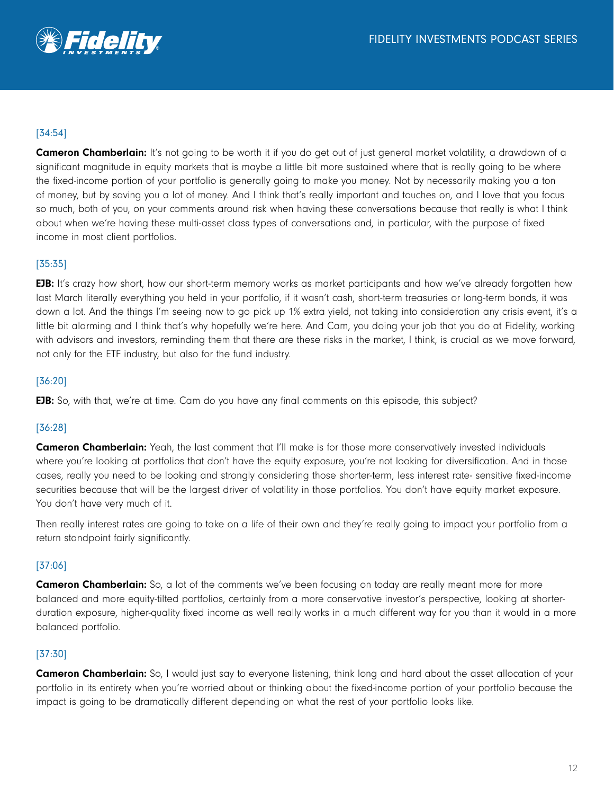

## [34:54]

**Cameron Chamberlain:** It's not going to be worth it if you do get out of just general market volatility, a drawdown of a significant magnitude in equity markets that is maybe a little bit more sustained where that is really going to be where the fixed-income portion of your portfolio is generally going to make you money. Not by necessarily making you a ton of money, but by saving you a lot of money. And I think that's really important and touches on, and I love that you focus so much, both of you, on your comments around risk when having these conversations because that really is what I think about when we're having these multi-asset class types of conversations and, in particular, with the purpose of fixed income in most client portfolios.

#### [35:35]

**EJB:** It's crazy how short, how our short-term memory works as market participants and how we've already forgotten how last March literally everything you held in your portfolio, if it wasn't cash, short-term treasuries or long-term bonds, it was down a lot. And the things I'm seeing now to go pick up 1% extra yield, not taking into consideration any crisis event, it's a little bit alarming and I think that's why hopefully we're here. And Cam, you doing your job that you do at Fidelity, working with advisors and investors, reminding them that there are these risks in the market, I think, is crucial as we move forward, not only for the ETF industry, but also for the fund industry.

#### [36:20]

**EJB:** So, with that, we're at time. Cam do you have any final comments on this episode, this subject?

### [36:28]

**Cameron Chamberlain:** Yeah, the last comment that I'll make is for those more conservatively invested individuals where you're looking at portfolios that don't have the equity exposure, you're not looking for diversification. And in those cases, really you need to be looking and strongly considering those shorter-term, less interest rate- sensitive fixed-income securities because that will be the largest driver of volatility in those portfolios. You don't have equity market exposure. You don't have very much of it.

Then really interest rates are going to take on a life of their own and they're really going to impact your portfolio from a return standpoint fairly significantly.

### [37:06]

**Cameron Chamberlain:** So, a lot of the comments we've been focusing on today are really meant more for more balanced and more equity-tilted portfolios, certainly from a more conservative investor's perspective, looking at shorterduration exposure, higher-quality fixed income as well really works in a much different way for you than it would in a more balanced portfolio.

#### [37:30]

Cameron Chamberlain: So, I would just say to everyone listening, think long and hard about the asset allocation of your portfolio in its entirety when you're worried about or thinking about the fixed-income portion of your portfolio because the impact is going to be dramatically different depending on what the rest of your portfolio looks like.